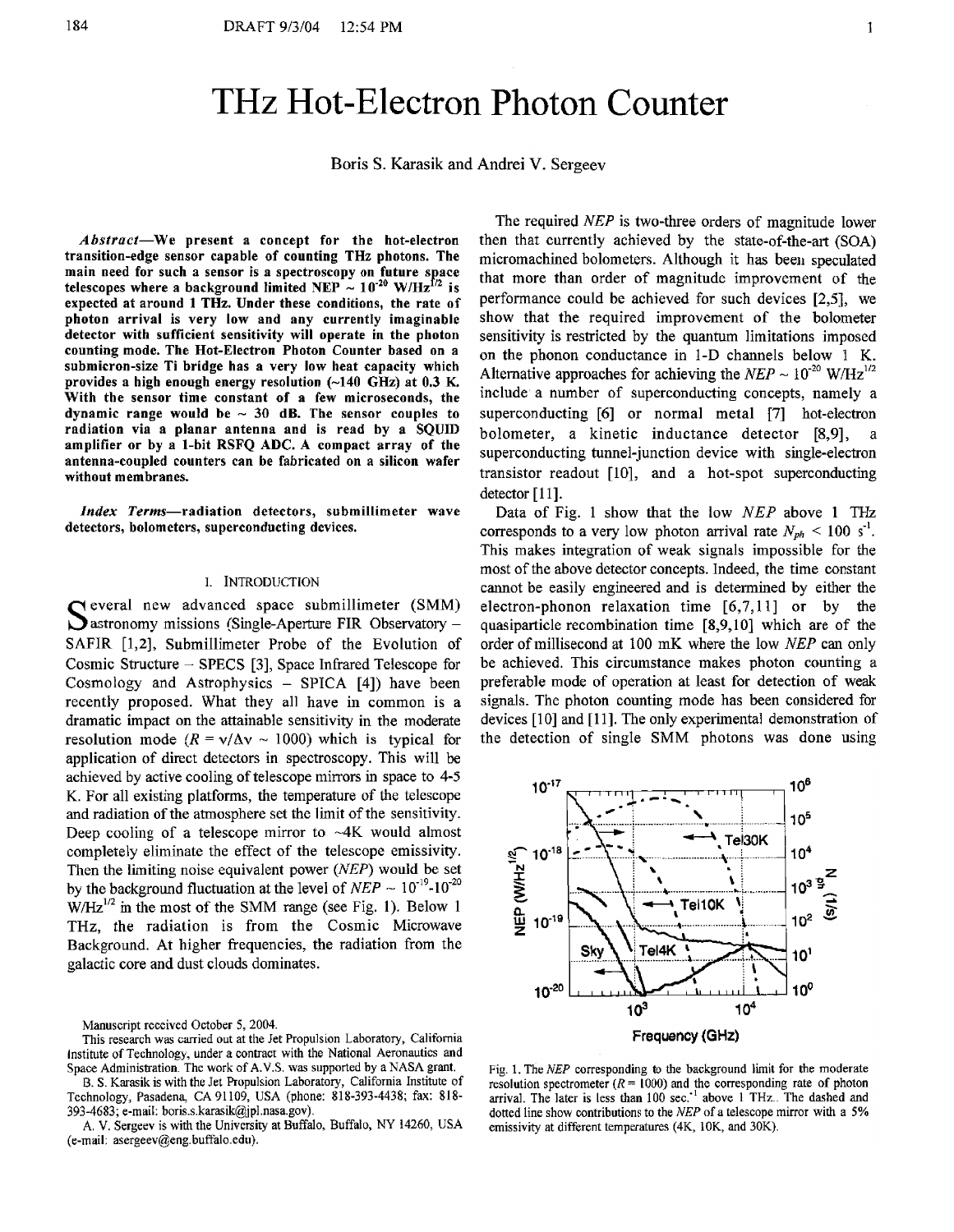# THz Hot-Electron Photon Counter

Boris S. Karasik and Andrei V. Sergeev

**Abstract-We present a concept for the hot-electron transition-edge sensor capable of counting THz photons. The**  main need for such a sensor is a spectroscopy on future space telescopes where a background limited NEP  $\sim 10^{-20}$  W/Hz<sup>f/2</sup> is **expected at around 1 THz. Under these conditions, the rate of photon arrival is very low and any currently imaginable detector with sufficient sensitivity will operate in the photon counting mode. The Hot-Electron Photon Counter based on a submicron-size Ti bridge has a very low heat capacity which**  provides a high enough energy resolution (~140 GHz) at 0.3 K. **With the sensor time constant of a few microseconds, the**  dynamic range would be  $\sim 30$  dB. The sensor couples to **radiation via a planar antenna and is read by a SQUID amplifier or by a 1-bit RSFQ ADC. A compact array of the antenna-coupled counters can be fabricated on a silicon wafer without membranes.** 

*Index* **Terms-radiation detectors, submillimeter wave detectors, bolometers, superconducting devices.** 

### 1. INTRODUCTION

S everal new advanced space submillimeter (SMM) astronomy missions (Single-Aperture FIR Observatory - SAFIR [1,2], Submillimeter Probe of the Evolution of Cosmic Structure - SPECS **[3],** Space Infrared Telescope for Cosmology and Astrophysics - SPICA [4]) have been recently proposed. What they all have in common is a dramatic impact on the attainable sensitivity in the moderate resolution mode  $(R = \sqrt{\Delta v} \sim 1000)$  which is typical for application of direct detectors in spectroscopy. This will be achieved by active cooling of telescope mirrors in space to 4-5 K. For all existing platforms, the temperature of the telescope and radiation of the atmosphere set the limit of the sensitivity. Deep cooling of a telescope mirror to  $-4K$  would almost completely eliminate the effect of the telescope emissivity. Then the limiting noise equivalent power (NEP) would be set by the background fluctuation at the level of  $NEP \sim 10^{-19}$ -10<sup>-20</sup> **w/Hz'/~** in the most of the SMM range (see Fig. 1). Below 1 **THz,** the radiation is from the Cosmic Microwave Background. At higher frequencies, the radiation from the galactic core and dust clouds dominates.

Manuscript received October 5, 2004.

*6.* S. Karasik is with the Jet Propulsion Laboratory, California Institute of Technology, Pasadena, CA 91 109, USA (phone: 818-393-4438; fax: 81 **8-**  393-4683; e-mail: **boris.s.karasik@jpl.nasa.gov).** 

**A.** V. Sergeev is with the University at Buffalo, Buffalo, NY 14260, USA (e-mail: **asergeev@eng.buffalo.edu).** 

The required NEP is two-three orders of magnitude lower then that currently achieved by the state-of-the-art (SOA) micromachined bolometers. Although it has been speculated that more than order of magnitude improvement of the performance could be achieved for such devices *[2,5],* we show that the required improvement of the bolometer sensitivity is restricted by the quantum limitations imposed on the phonon conductance in 1-D channels below 1 K. Alternative approaches for achieving the  $NEP \sim 10^{-20}$  W/Hz<sup>1/2</sup> include a number of superconducting concepts, namely a superconducting *[6]* or normal metal **171** hot-electron bolometer, a kinetic inductance detector **[8,9],** a superconducting tunnel-junction device with single-electron transistor readout  $[10]$ , and a hot-spot superconducting detector [11].

Data of Fig. 1 show that the low NEP above 1 THz corresponds to a very low photon arrival rate  $N_{ph}$  < 100 s<sup>-1</sup>. This makes integration of weak signals impossible for the most of the above detector concepts. Indeed, the time constant cannot be easily engineered and is determined by either the electron-phonon relaxation time [6,7,11] or by the quasiparticle recombination time [8,9,10] which are of the order of millisecond at 100 mK where the low *NEP* can only be achieved. This circumstance makes photon counting a preferable mode of operation at least for detection of weak signals. The photon counting mode has been considered for devices [lo] and **[l** 11. The only experimental demonstration of the detection of single SMM photons was done using



Fig. 1. The NEP corresponding to the background limit for the moderate resolution spectrometer ( $R = 1000$ ) and the corresponding rate of photon arrival. The later is less than 100 sec.<sup>-1</sup> above 1 THz.. The dashed and dotted line show contributions to the NEP of a telescope mirror with a 5% emissivity at different temperatures (4K, 10K, and 30K).

This research was carried out at the Jet Propulsion Laboratory, California Institute of Technology, under a contract with the National Aeronautics and Space Administration. The work of **A.V.S.** was supported by aNASA grant.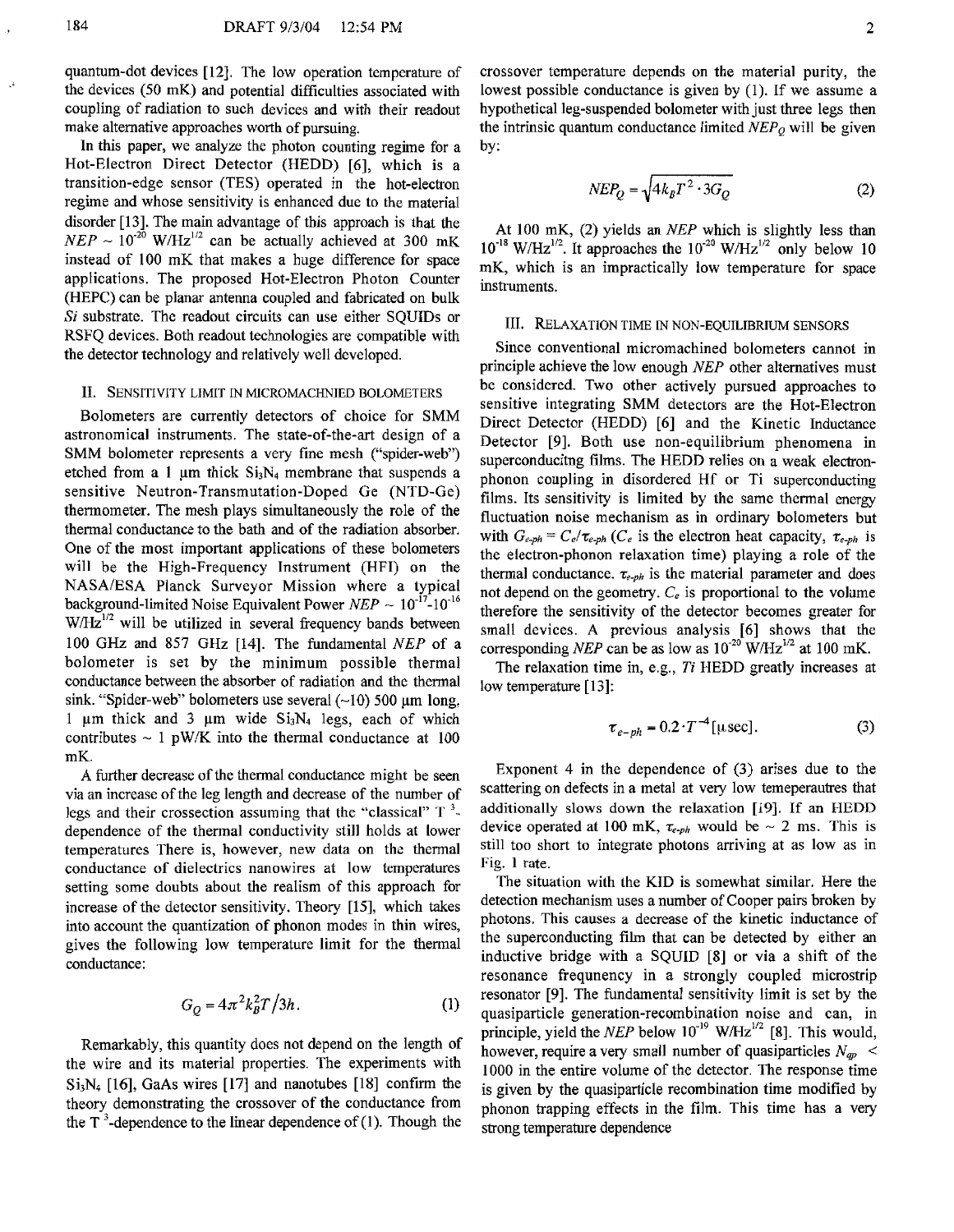by:

quantum-dot devices [12]. The low operation temperature of the devices (50 mK) and potential difficulties associated with coupling of radiation to such devices and with their readout make alternative approaches worth of pursuing.

In this paper, we analyze the photon counting regime for a Hot-Electron Direct Detector (HEDD) [6], which is a transition-edge sensor (TES) operated in the hot-electron regime and whose sensitivity is enhanced due to the material disorder [13]. The main advantage of this approach is that the  $NEP \sim 10^{-20}$  W/Hz<sup>1/2</sup> can be actually achieved at 300 mK instead of 100 mK that makes a huge difference for space applications. The proposed Hot-Electron Photon Counter (HEPC) can be **planar** antenna coupled and fabricated on bulk **Si** substrate. The readout circuits can use either SQUIDS or RSFQ devices. Both readout technologies are compatible with the detector technology and relatively well developed.

## 11. SENSITIVITY LIMIT IN MlCROMACHNIED BOLOMETERS

Bolometers are currently detectors of choice for SMM astronomical instruments. The state-of-the-art design of a SMM bolometer represents a very fine mesh ("spider-web") etched from a 1  $\mu$ m thick Si<sub>3</sub>N<sub>4</sub> membrane that suspends a sensitive Neutron-Transmutation-Doped Ge (NTD-Ge) thermometer. The mesh plays simultaneously the role of the thermal conductance to the bath and of the radiation absorber. One of the most important applications of these bolometers will be the High-Frequency Instrument (HFI) on the NASA/ESA Planck Surveyor Mission where a typical background-limited Noise Equivalent Power  $NEP \sim 10^{-17}$ -10<sup>-16</sup>  $W/Hz^{1/2}$  will be utilized in several frequency bands between 100 GHz and 857 GHz [14]. The fundamental *NEP* of a bolometer is set by the minimum possible thermal conductance between the absorber of radiation and the thermal sink. "Spider-web" bolometers use several  $(-10)$  500  $\mu$ m long, 1  $\mu$ m thick and 3  $\mu$ m wide Si<sub>3</sub>N<sub>4</sub> legs, each of which contributes  $\sim 1$  pW/K into the thermal conductance at 100 mK.

A further decrease of the thermal conductance might be seen via an increase of the leg length and decrease of the number of legs and their crossection assuming that the "classical" T **3**  dependence of the thermal conductivity still holds at lower temperatures There is, however, new data on the thermal conductance of dielectrics nanowires at low temperatures setting some doubts about the realism of this approach for increase of the detector sensitivity. Theory [IS], which takes into account the quantization of phonon modes in thin wires, gives the following low temperature limit for the thermal conductance:

$$
G_O = 4\pi^2 k_B^2 T / 3h. \tag{1}
$$

Remarkably, this quantity does not depend on the length of the wire and its material properties. The experiments with  $Si_3N_4$  [16], GaAs wires [17] and nanotubes [18] confirm the theory demonstrating the crossover of the conductance from the  $T^3$ -dependence to the linear dependence of (1). Though the

$$
NEP_Q = \sqrt{4k_B T^2 \cdot 3G_Q} \tag{2}
$$

At 100 mK, (2) yields an *NEP* which is slightly less than  $10^{-18}$  W/Hz<sup>1/2</sup>. It approaches the  $10^{-20}$  W/Hz<sup>1/2</sup> only below 10 mK, which is an impractically low temperature for space instruments.

j

#### 111. RELAXATION TIME IN NON-EQUILIBRIUM SENSORS

Since conventional micromachined bolometers cannot in principle achieve the low enough NEP other alternatives must be considered. Two other actively pursued approaches to sensitive integrating SMM detectors are the Hot-Electron Direct Detector (HEDD) *[6]* and the Kinetic Inductance Detector **[9].** Both use non-equilibrium phenomena in superconducitng films. The HEDD relies on a weak electronphonon coupling in disordered Hf or Ti superconducting films. Its sensitivity is limited by the same thermal energy fluctuation noise mechanism as in ordinary bolometers but with  $G_{e-ph} = C_e / \tau_{e-ph}$  ( $C_e$  is the electron heat capacity,  $\tau_{e-ph}$  is the electron-phonon relaxation time) playing a role of the thermal conductance.  $\tau_{e-ph}$  is the material parameter and does not depend on the geometry.  $C_e$  is proportional to the volume therefore the sensitivity of the detector becomes greater for small devices. **A** previous analysis *[6]* shows that the corresponding NEP can be as low as  $10^{-20}$  W/Hz<sup>1/2</sup> at 100 mK.

The relaxation time in, e.g., *Ti* HEDD greatly increases at low temperature [13]:

$$
\tau_{e-ph} = 0.2 \cdot T^{-4} [\mu \sec]. \tag{3}
$$

Exponent 4 in the dependence of **(3)** arises due to the scattering on defects in a metal at very low temeperautres that additionally slows down the relaxation [19]. If an HEDD device operated at 100 mK,  $\tau_{e-ph}$  would be  $\sim$  2 ms. This is still too short to integrate photons arriving at as low as in Fig. **1** rate.

The situation with the KID is somewhat similar. Here the detection mechanism uses a number of Cooper pairs broken by photons. This causes a decrease of the kinetic inductance of the superconducting film that can be detected by either an inductive bridge with a SQUID [8] or via a shift of the resonance frequnency in a strongly coupled microstrip resonator [9]. The fundamental sensitivity limit is set by the quasiparticle generation-recombination noise and can, in principle, yield the NEP below  $10^{-19}$  W/Hz<sup>1/2</sup> [8]. This would, however, require a very small number of quasiparticles  $N_{ap}$  < 1000 in the entire volume of the detector. The response time is given by the quasiparticle recombination time modified by phonon trapping effects in the **film.** This time has a very strong temperature dependence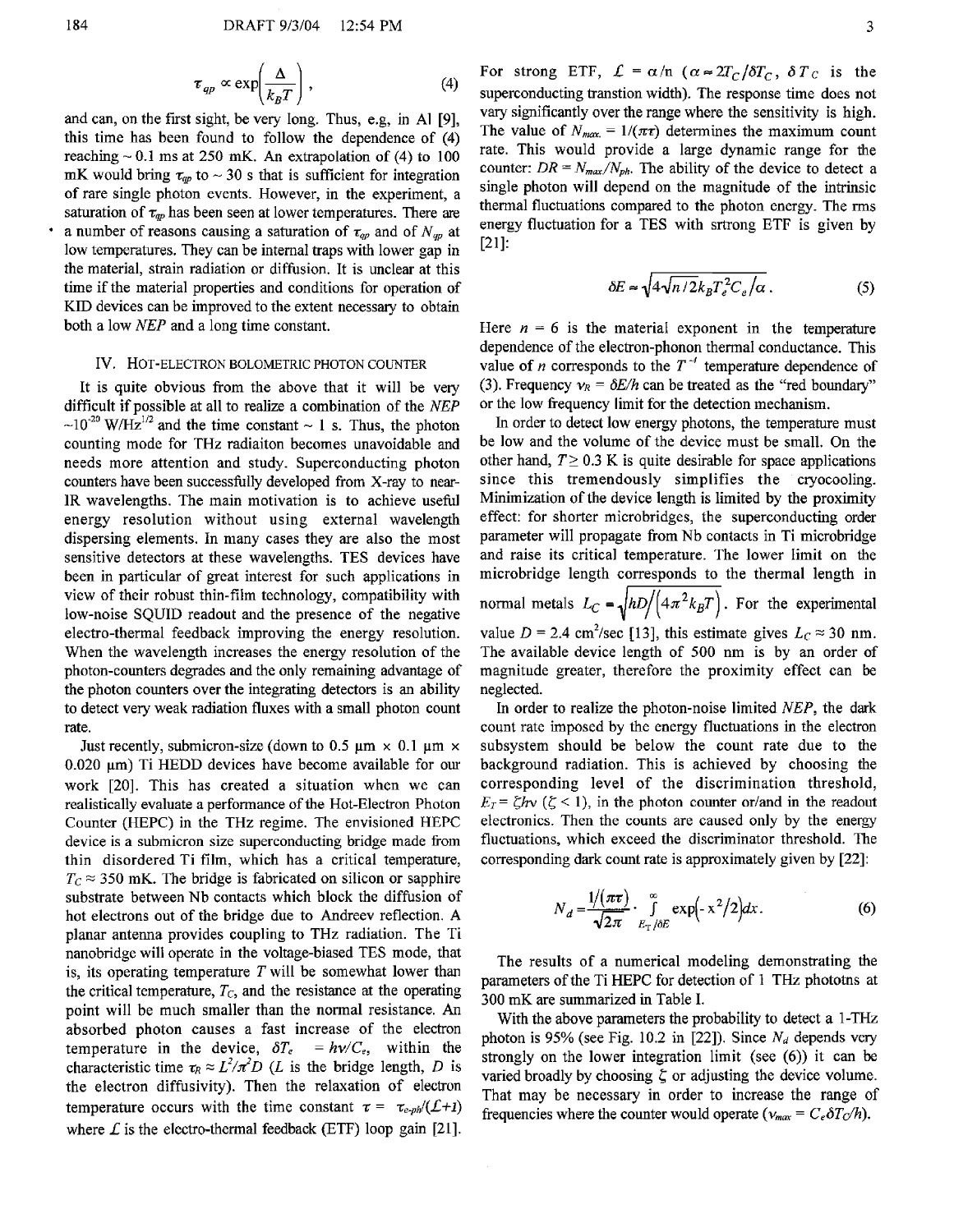$$
\tau_{qp} \propto \exp\left(\frac{\Delta}{k_B T}\right),\tag{4}
$$

and can, on the first sight, be very long. Thus, e.g, in Al **[9],**  this time has been found to follow the dependence of (4) reaching  $\sim 0.1$  ms at 250 mK. An extrapolation of (4) to 100 mK would bring  $\tau_{qp}$  to  $\sim$  30 s that is sufficient for integration of rare single photon events. However, in the experiment, a saturation of  $\tau_{qp}$  has been seen at lower temperatures. There are a number of reasons causing a saturation of  $\tau_{ap}$  and of  $N_{ap}$  at low temperatures. They can be internal traps with lower gap in the material, strain radiation or diffusion. It is unclear at this time if the material properties and conditions for operation of KID devices can be improved to the extent necessary to obtain both a low *NEP* and a long time constant.

#### **IV.** HOT-ELECTRON BOLOMETRIC PHOTON COUNTER

It is quite obvious from the above that it will be very difficult if possible at all to realize a combination of the *NEP*   $\sim 10^{-20}$  W/Hz<sup>1/2</sup> and the time constant  $\sim 1$  s. Thus, the photon counting mode for THz radiaiton becomes unavoidable and needs more attention and study. Superconducting photon counters have been successfully developed from X-ray to near-1R wavelengths. The main motivation is to achieve useful energy resolution without using external wavelength dispersing elements. In many cases they are also the most sensitive detectors at these wavelengths. TES devices have been in particular of great interest for such applications in view of their robust thin-film technology, compatibility with low-noise SQUID readout and the presence of the negative electro-thermal feedback improving the energy resolution. When the wavelength increases the energy resolution of the photon-counters degrades and the only remaining advantage of the photon counters over the integrating detectors is an ability to detect very weak radiation fluxes with a small photon count rate.

Just recently, submicron-size (down to 0.5  $\mu$ m  $\times$  0.1  $\mu$ m  $\times$  $0.020 \mu m$ ) Ti HEDD devices have become available for our work [20]. This has created a situation when we can realistically evaluate **a** performance of the Hot-Electron Photon Counter (HEPC) in the THz regime. The envisioned HEPC device is a submicron size superconducting bridge made from thin disordered Ti film, which has a critical temperature,  $T_c \approx 350$  mK. The bridge is fabricated on silicon or sapphire substrate between Nb contacts which block the diffusion of hot electrons out of the bridge due to Andreev reflection. **A**  planar antenna provides coupling to THz radiation. The Ti hanobridge will bperate in the voltage-biased TES mode, that is, its operating temperature  $T$  will be somewhat lower than the critical temperature,  $T_c$ , and the resistance at the operating point will be much smaller than the normal resistance. An absorbed photon causes a fast increase of the electron temperature in the device,  $\delta T_e = h v / C_e$ , within the characteristic time  $\tau_R \approx L^2/\pi^2 D$  (*L* is the bridge length, *D* is the electron diffusivity). Then the relaxation of electron temperature occurs with the time constant  $\tau = \tau_{e-ph}/(\mathcal{L}+1)$ where  $\vec{L}$  is the electro-thermal feedback (ETF) loop gain [21].

For strong ETF,  $\mathcal{L} = \alpha/n$  ( $\alpha \approx 2T_C/\delta T_C$ ,  $\delta T_C$  is the superconducting transtion width). The response time does not vary significantly over the range where the sensitivity is high. The value of  $N_{max} = 1/(\pi \tau)$  determines the maximum count rate. This would provide a large dynamic range for the counter:  $DR = N_{max}/N_{ph}$ . The ability of the device to detect a single photon will depend on the magnitude of the intrinsic thermal fluctuations compared to the photon energy. The rms energy fluctuation for a TES with srtrong ETF is given by [2 **11:** 

$$
\delta E \approx \sqrt{4\sqrt{n/2}k_B T_e^2 C_e/\alpha} \,. \tag{5}
$$

Here  $n = 6$  is the material exponent in the temperature dependence of the electron-phonon thermal conductance. This value of *n* corresponds to the  $T<sup>-1</sup>$  temperature dependence of (3). Frequency  $v_R = \delta E/h$  can be treated as the "red boundary" or the low frequency limit for the detection mechanism.

In order to detect low energy photons, the temperature must be low and the volume of the device must be small. On the other hand,  $T \geq 0.3$  K is quite desirable for space applications since this tremendously simplifies the cryocooling. Minimization of the device length is limited by the proximity effect: for shorter microbridges, the superconducting order parameter will propagate from Nb contacts in Ti microbridge and raise its critical temperature. The lower limit on the microbridge length corresponds to the thermal length in normal metals  $L_C = \sqrt{hD/(4\pi^2 k_BT)}$ . For the experimental value  $D = 2.4$  cm<sup>2</sup>/sec [13], this estimate gives  $L<sub>C</sub> \approx 30$  nm. The available device length of 500 nm is by an order of magnitude greater, therefore the proximity effect can be neglected.

In order to realize the photon-noise limited NEP, the dark count rate imposed by the energy fluctuations in the electron subsystem should be below the count rate due to the background radiation. This is achieved by choosing the corresponding level of the discrimination threshold,  $E_T = \zeta h v$  ( $\zeta$  < 1), in the photon counter or/and in the readout electronics. Then the counts are caused only by the energy fluctuations, which exceed the discriminator threshold. The corresponding dark count rate is approximately given by [22]:

$$
N_d = \frac{1/(\pi\tau)}{\sqrt{2\pi}} \cdot \int_{E_T/\delta E}^{\infty} \exp(-x^2/2) dx.
$$
 (6)

The results of a numerical modeling demonstrating the parameters of the Ti HEPC for detection of **1** THz phototns at 300 mK are summarized in Table 1.

With the above parameters the probability to detect a 1-THz photon is 95% (see Fig. 10.2 in [22]). Since  $N_d$  depends very strongly on the lower integration limit (see (6)) it can be varied broadly by choosing  $\zeta$  or adjusting the device volume. That may be necessary in order to increase the range of frequencies where the counter would operate ( $v_{max} = C_e \delta T_c/h$ ).